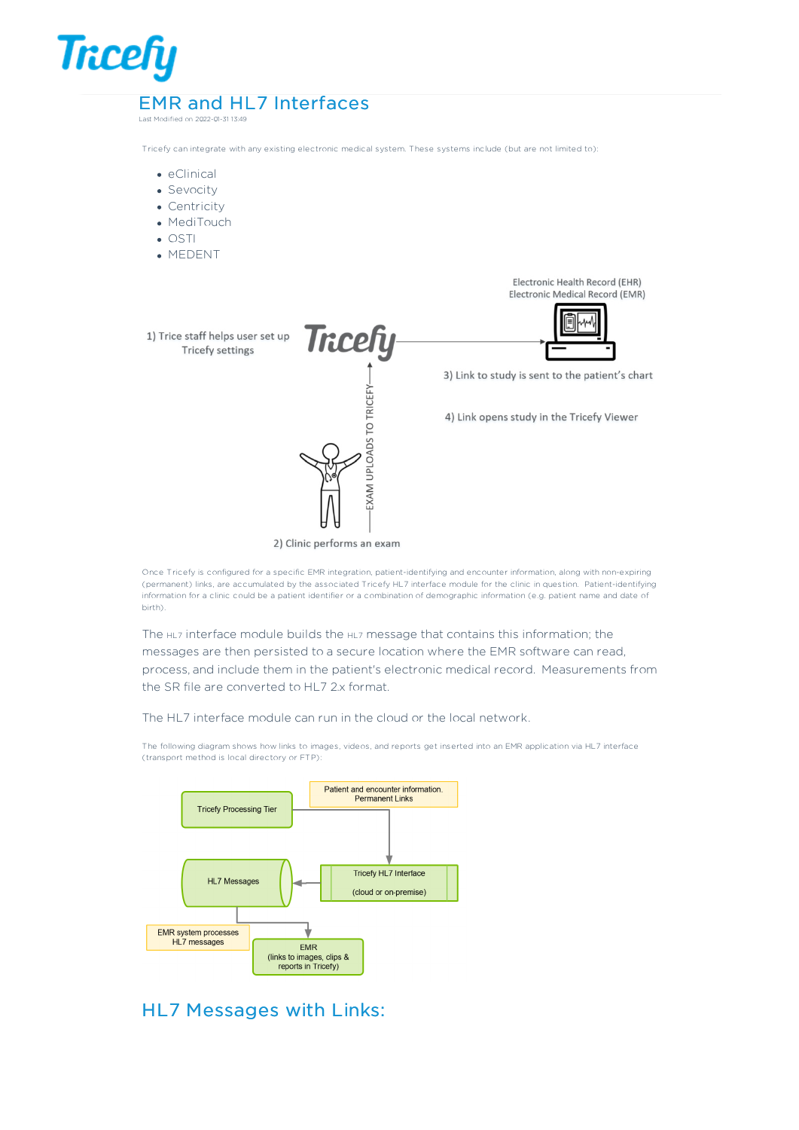# **Tricefy** EMR and HL7 Interfaces

Last Modified on 2022-01-31 13:49

Tricefy can integrate with any existing electronic medical system. These systems include (but are not limited to):

- eClinical
- Sevocity
- Centricity
- MediTouch
- OSTI
- MEDENT

Electronic Health Record (EHR) Electronic Medical Record (EMR)

hau Tricefy 1) Trice staff helps user set up **Tricefy settings** 3) Link to study is sent to the patient's chart EXAM UPLOADS TO TRICEFY-4) Link opens study in the Tricefy Viewer

2) Clinic performs an exam

Once Tricefy is configured for a specific EMR integration, patient-identifying and encounter information, along with non-expiring (permanent) links, are accumulated by the associated Tricefy HL7 interface module for the clinic in question. Patient-identifying information for a clinic could be a patient identifier or a combination of demographic information (e.g. patient name and date of birth).

The HL7 interface module builds the HL7 message that contains this information; the messages are then persisted to a secure location where the EMR software can read, process, and include them in the patient's electronic medical record. Measurements from the SR file are converted to HL7 2.x format.

The HL7 interface module can run in the cloud or the local network.

The following diagram shows how links to images, videos, and reports get inserted into an EMR application via HL7 interface (transport method is local directory or FTP):



## HL7 Messages with Links: